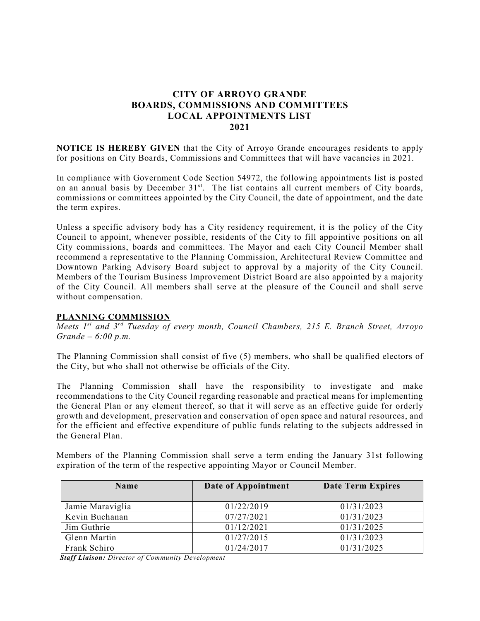# **CITY OF ARROYO GRANDE BOARDS, COMMISSIONS AND COMMITTEES LOCAL APPOINTMENTS LIST 2021**

**NOTICE IS HEREBY GIVEN** that the City of Arroyo Grande encourages residents to apply for positions on City Boards, Commissions and Committees that will have vacancies in 2021.

In compliance with Government Code Section 54972, the following appointments list is posted on an annual basis by December 31<sup>st</sup>. The list contains all current members of City boards, commissions or committees appointed by the City Council, the date of appointment, and the date the term expires.

Unless a specific advisory body has a City residency requirement, it is the policy of the City Council to appoint, whenever possible, residents of the City to fill appointive positions on all City commissions, boards and committees. The Mayor and each City Council Member shall recommend a representative to the Planning Commission, Architectural Review Committee and Downtown Parking Advisory Board subject to approval by a majority of the City Council. Members of the Tourism Business Improvement District Board are also appointed by a majority of the City Council. All members shall serve at the pleasure of the Council and shall serve without compensation.

# **PLANNING COMMISSION**

*Meets 1st and 3rd Tuesday of every month, Council Chambers, 215 E. Branch Street, Arroyo Grande – 6:00 p.m.*

The Planning Commission shall consist of five (5) members, who shall be qualified electors of the City, but who shall not otherwise be officials of the City.

The Planning Commission shall have the responsibility to investigate and make recommendations to the City Council regarding reasonable and practical means for implementing the General Plan or any element thereof, so that it will serve as an effective guide for orderly growth and development, preservation and conservation of open space and natural resources, and for the efficient and effective expenditure of public funds relating to the subjects addressed in the General Plan.

Members of the Planning Commission shall serve a term ending the January 31st following expiration of the term of the respective appointing Mayor or Council Member.

| <b>Name</b>      | Date of Appointment | Date Term Expires |
|------------------|---------------------|-------------------|
|                  |                     |                   |
| Jamie Maraviglia | 01/22/2019          | 01/31/2023        |
| Kevin Buchanan   | 07/27/2021          | 01/31/2023        |
| Jim Guthrie      | 01/12/2021          | 01/31/2025        |
| Glenn Martin     | 01/27/2015          | 01/31/2023        |
| Frank Schiro     | 01/24/2017          | 01/31/2025        |

*Staff Liaison: Director of Community Development*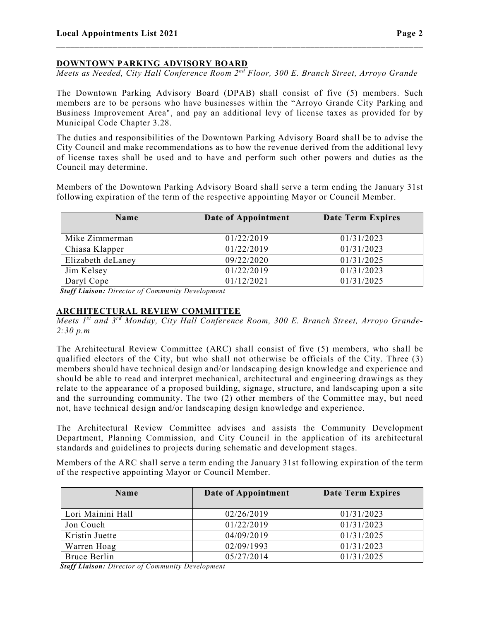## **DOWNTOWN PARKING ADVISORY BOARD**

*Meets as Needed, City Hall Conference Room 2nd Floor, 300 E. Branch Street, Arroyo Grande*

\_\_\_\_\_\_\_\_\_\_\_\_\_\_\_\_\_\_\_\_\_\_\_\_\_\_\_\_\_\_\_\_\_\_\_\_\_\_\_\_\_\_\_\_\_\_\_\_\_\_\_\_\_\_\_\_\_\_\_\_\_\_\_\_\_\_\_\_\_\_\_\_\_\_\_\_\_\_

The Downtown Parking Advisory Board (DPAB) shall consist of five (5) members. Such members are to be persons who have businesses within the "Arroyo Grande City Parking and Business Improvement Area", and pay an additional levy of license taxes as provided for by Municipal Code Chapter 3.28.

The duties and responsibilities of the Downtown Parking Advisory Board shall be to advise the City Council and make recommendations as to how the revenue derived from the additional levy of license taxes shall be used and to have and perform such other powers and duties as the Council may determine.

Members of the Downtown Parking Advisory Board shall serve a term ending the January 31st following expiration of the term of the respective appointing Mayor or Council Member.

| Name              | Date of Appointment | <b>Date Term Expires</b> |
|-------------------|---------------------|--------------------------|
| Mike Zimmerman    | 01/22/2019          | 01/31/2023               |
| Chiasa Klapper    | 01/22/2019          | 01/31/2023               |
| Elizabeth deLaney | 09/22/2020          | 01/31/2025               |
| Jim Kelsey        | 01/22/2019          | 01/31/2023               |
| Daryl Cope        | 01/12/2021          | 01/31/2025               |

*Staff Liaison: Director of Community Development*

#### **ARCHITECTURAL REVIEW COMMITTEE**

*Meets 1st and 3rd Monday, City Hall Conference Room, 300 E. Branch Street, Arroyo Grande-2:30 p.m*

The Architectural Review Committee (ARC) shall consist of five (5) members, who shall be qualified electors of the City, but who shall not otherwise be officials of the City. Three (3) members should have technical design and/or landscaping design knowledge and experience and should be able to read and interpret mechanical, architectural and engineering drawings as they relate to the appearance of a proposed building, signage, structure, and landscaping upon a site and the surrounding community. The two (2) other members of the Committee may, but need not, have technical design and/or landscaping design knowledge and experience.

The Architectural Review Committee advises and assists the Community Development Department, Planning Commission, and City Council in the application of its architectural standards and guidelines to projects during schematic and development stages.

Members of the ARC shall serve a term ending the January 31st following expiration of the term of the respective appointing Mayor or Council Member.

| <b>Name</b>       | Date of Appointment | Date Term Expires |
|-------------------|---------------------|-------------------|
| Lori Mainini Hall | 02/26/2019          | 01/31/2023        |
| Jon Couch         | 01/22/2019          | 01/31/2023        |
| Kristin Juette    | 04/09/2019          | 01/31/2025        |
| Warren Hoag       | 02/09/1993          | 01/31/2023        |
| Bruce Berlin      | 05/27/2014          | 01/31/2025        |

*Staff Liaison: Director of Community Development*